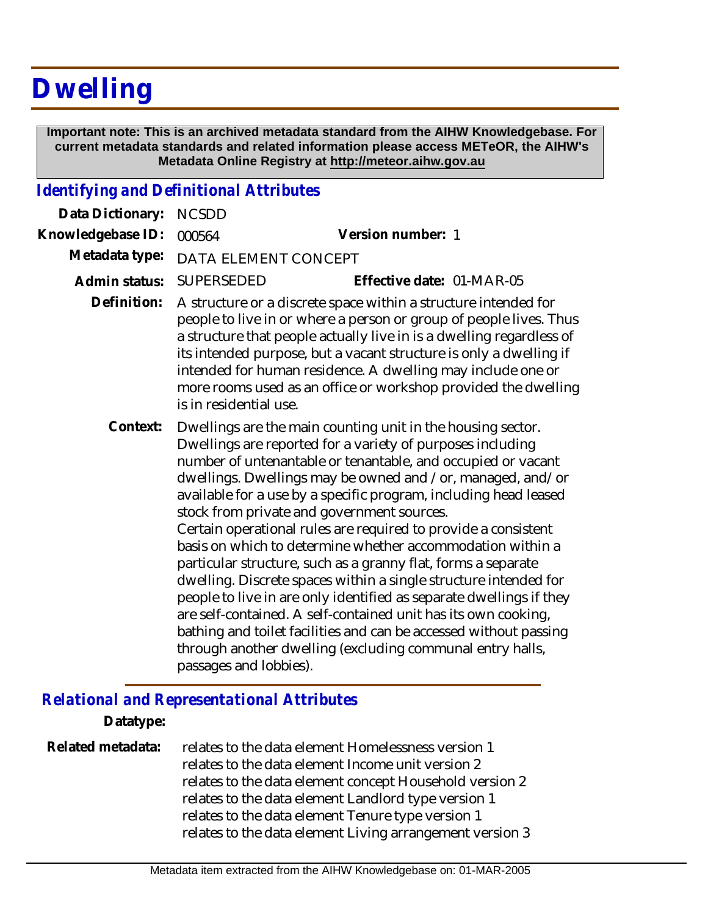# **Dwelling**

 **Important note: This is an archived metadata standard from the AIHW Knowledgebase. For current metadata standards and related information please access METeOR, the AIHW's Metadata Online Registry at http://meteor.aihw.gov.au**

## *Identifying and Definitional Attributes*

| Data Dictionary:  | <b>NCSDD</b>                                                                                                                                                                                                                                                                                                                                                                                                                                                                                                                                                                                                                                                                                                                                                                                                                                                                                                                                        |                           |
|-------------------|-----------------------------------------------------------------------------------------------------------------------------------------------------------------------------------------------------------------------------------------------------------------------------------------------------------------------------------------------------------------------------------------------------------------------------------------------------------------------------------------------------------------------------------------------------------------------------------------------------------------------------------------------------------------------------------------------------------------------------------------------------------------------------------------------------------------------------------------------------------------------------------------------------------------------------------------------------|---------------------------|
| Knowledgebase ID: | 000564                                                                                                                                                                                                                                                                                                                                                                                                                                                                                                                                                                                                                                                                                                                                                                                                                                                                                                                                              | Version number: 1         |
| Metadata type:    | DATA ELEMENT CONCEPT                                                                                                                                                                                                                                                                                                                                                                                                                                                                                                                                                                                                                                                                                                                                                                                                                                                                                                                                |                           |
| Admin status:     | <b>SUPERSEDED</b>                                                                                                                                                                                                                                                                                                                                                                                                                                                                                                                                                                                                                                                                                                                                                                                                                                                                                                                                   | Effective date: 01-MAR-05 |
| Definition:       | A structure or a discrete space within a structure intended for<br>people to live in or where a person or group of people lives. Thus<br>a structure that people actually live in is a dwelling regardless of<br>its intended purpose, but a vacant structure is only a dwelling if<br>intended for human residence. A dwelling may include one or<br>more rooms used as an office or workshop provided the dwelling<br>is in residential use.                                                                                                                                                                                                                                                                                                                                                                                                                                                                                                      |                           |
| Context:          | Dwellings are the main counting unit in the housing sector.<br>Dwellings are reported for a variety of purposes including<br>number of untenantable or tenantable, and occupied or vacant<br>dwellings. Dwellings may be owned and /or, managed, and/or<br>available for a use by a specific program, including head leased<br>stock from private and government sources.<br>Certain operational rules are required to provide a consistent<br>basis on which to determine whether accommodation within a<br>particular structure, such as a granny flat, forms a separate<br>dwelling. Discrete spaces within a single structure intended for<br>people to live in are only identified as separate dwellings if they<br>are self-contained. A self-contained unit has its own cooking,<br>bathing and toilet facilities and can be accessed without passing<br>through another dwelling (excluding communal entry halls,<br>passages and lobbies). |                           |

## *Relational and Representational Attributes*

#### **Datatype:**

| Related metadata: | relates to the data element Homelessness version 1       |
|-------------------|----------------------------------------------------------|
|                   | relates to the data element Income unit version 2        |
|                   | relates to the data element concept Household version 2  |
|                   | relates to the data element Landlord type version 1      |
|                   | relates to the data element Tenure type version 1        |
|                   | relates to the data element Living arrangement version 3 |